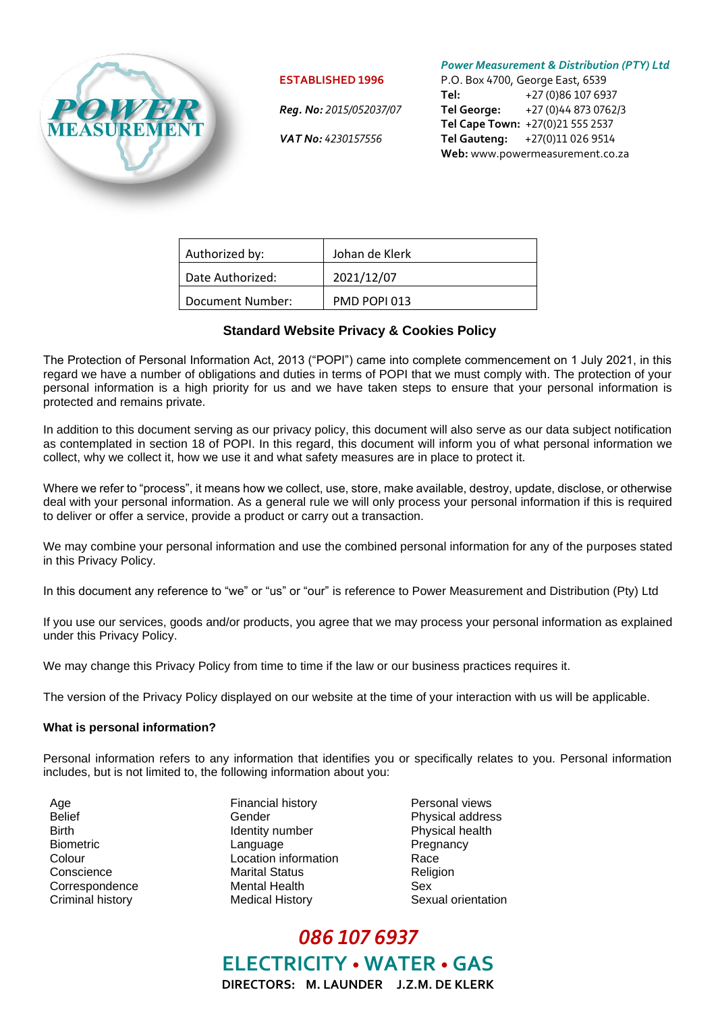

#### **ESTABLISHED 1996**

 *Reg. No: 2015/052037/07*

 *VAT No: 4230157556*

*Power Measurement & Distribution (PTY) Ltd*

P.O. Box 4700, George East, 6539 **Tel:** +27 (0)86 107 6937 **Tel George:** +27 (0)44 873 0762/3 **Tel Cape Town:** +27(0)21 555 2537 **Tel Gauteng:** +27(0)11 026 9514 **Web:** www.powermeasurement.co.za

| Authorized by:   | Johan de Klerk |
|------------------|----------------|
| Date Authorized: | 2021/12/07     |
| Document Number: | PMD POPI 013   |

# **Standard Website Privacy & Cookies Policy**

The Protection of Personal Information Act, 2013 ("POPI") came into complete commencement on 1 July 2021, in this regard we have a number of obligations and duties in terms of POPI that we must comply with. The protection of your personal information is a high priority for us and we have taken steps to ensure that your personal information is protected and remains private.

In addition to this document serving as our privacy policy, this document will also serve as our data subject notification as contemplated in section 18 of POPI. In this regard, this document will inform you of what personal information we collect, why we collect it, how we use it and what safety measures are in place to protect it.

Where we refer to "process", it means how we collect, use, store, make available, destroy, update, disclose, or otherwise deal with your personal information. As a general rule we will only process your personal information if this is required to deliver or offer a service, provide a product or carry out a transaction.

We may combine your personal information and use the combined personal information for any of the purposes stated in this Privacy Policy.

In this document any reference to "we" or "us" or "our" is reference to Power Measurement and Distribution (Pty) Ltd

If you use our services, goods and/or products, you agree that we may process your personal information as explained under this Privacy Policy.

We may change this Privacy Policy from time to time if the law or our business practices requires it.

The version of the Privacy Policy displayed on our website at the time of your interaction with us will be applicable.

#### **What is personal information?**

Personal information refers to any information that identifies you or specifically relates to you. Personal information includes, but is not limited to, the following information about you:

- 
- Age **Financial history Personal views** Personal views Belief **Gender** Gender **Physical address** Birth **IDENT IDENTIFY** Identity number **Physical health** Biometric **Example 2018** Language **Pregnancy** Colour Location information Race Conscience Marital Status Religion Correspondence Mental Health Sex Criminal history Medical History Sexual orientation
	-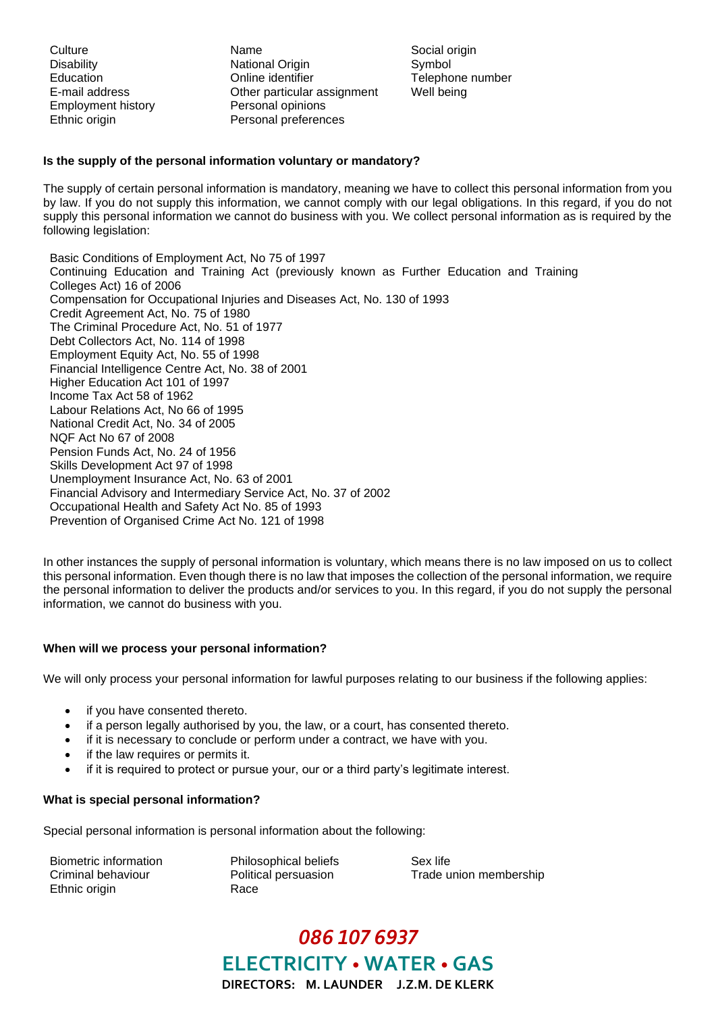Employment history **Personal opinions** 

Culture **Name** Name Social origin Disability **National Origin** Symbol Symbol Education Online identifier Telephone number E-mail address Other particular assignment Well being Ethnic origin **Personal preferences** 

## **Is the supply of the personal information voluntary or mandatory?**

The supply of certain personal information is mandatory, meaning we have to collect this personal information from you by law. If you do not supply this information, we cannot comply with our legal obligations. In this regard, if you do not supply this personal information we cannot do business with you. We collect personal information as is required by the following legislation:

Basic Conditions of Employment Act, No 75 of 1997 Continuing Education and Training Act (previously known as Further Education and Training Colleges Act) 16 of 2006 Compensation for Occupational Injuries and Diseases Act, No. 130 of 1993 Credit Agreement Act, No. 75 of 1980 The Criminal Procedure Act, No. 51 of 1977 Debt Collectors Act, No. 114 of 1998 Employment Equity Act, No. 55 of 1998 Financial Intelligence Centre Act, No. 38 of 2001 Higher Education Act 101 of 1997 Income Tax Act 58 of 1962 Labour Relations Act, No 66 of 1995 National Credit Act, No. 34 of 2005 NQF Act No 67 of 2008 Pension Funds Act, No. 24 of 1956 Skills Development Act 97 of 1998 Unemployment Insurance Act, No. 63 of 2001 Financial Advisory and Intermediary Service Act, No. 37 of 2002 Occupational Health and Safety Act No. 85 of 1993 Prevention of Organised Crime Act No. 121 of 1998

In other instances the supply of personal information is voluntary, which means there is no law imposed on us to collect this personal information. Even though there is no law that imposes the collection of the personal information, we require the personal information to deliver the products and/or services to you. In this regard, if you do not supply the personal information, we cannot do business with you.

# **When will we process your personal information?**

We will only process your personal information for lawful purposes relating to our business if the following applies:

- if you have consented thereto.
- if a person legally authorised by you, the law, or a court, has consented thereto.
- if it is necessary to conclude or perform under a contract, we have with you.
- if the law requires or permits it.
- if it is required to protect or pursue your, our or a third party's legitimate interest.

#### **What is special personal information?**

Special personal information is personal information about the following:

Biometric information Philosophical beliefs Sex life Ethnic origin Race

Criminal behaviour **Political persuasion** Trade union membership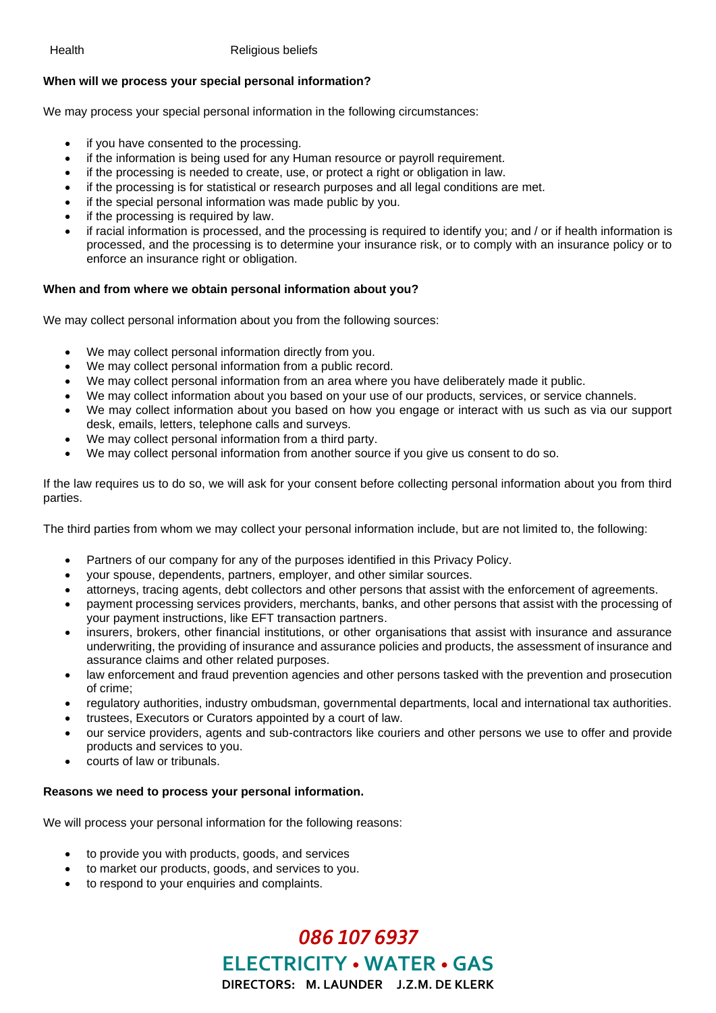### Health Religious beliefs

# **When will we process your special personal information?**

We may process your special personal information in the following circumstances:

- if you have consented to the processing.
- if the information is being used for any Human resource or payroll requirement.
- if the processing is needed to create, use, or protect a right or obligation in law.
- if the processing is for statistical or research purposes and all legal conditions are met.
- if the special personal information was made public by you.
- if the processing is required by law.
- if racial information is processed, and the processing is required to identify you; and / or if health information is processed, and the processing is to determine your insurance risk, or to comply with an insurance policy or to enforce an insurance right or obligation.

### **When and from where we obtain personal information about you?**

We may collect personal information about you from the following sources:

- We may collect personal information directly from you.
- We may collect personal information from a public record.
- We may collect personal information from an area where you have deliberately made it public.
- We may collect information about you based on your use of our products, services, or service channels.
- We may collect information about you based on how you engage or interact with us such as via our support desk, emails, letters, telephone calls and surveys.
- We may collect personal information from a third party.
- We may collect personal information from another source if you give us consent to do so.

If the law requires us to do so, we will ask for your consent before collecting personal information about you from third parties.

The third parties from whom we may collect your personal information include, but are not limited to, the following:

- Partners of our company for any of the purposes identified in this Privacy Policy.
- your spouse, dependents, partners, employer, and other similar sources.
- attorneys, tracing agents, debt collectors and other persons that assist with the enforcement of agreements.
- payment processing services providers, merchants, banks, and other persons that assist with the processing of your payment instructions, like EFT transaction partners.
- insurers, brokers, other financial institutions, or other organisations that assist with insurance and assurance underwriting, the providing of insurance and assurance policies and products, the assessment of insurance and assurance claims and other related purposes.
- law enforcement and fraud prevention agencies and other persons tasked with the prevention and prosecution of crime;
- regulatory authorities, industry ombudsman, governmental departments, local and international tax authorities.
- trustees, Executors or Curators appointed by a court of law.
- our service providers, agents and sub-contractors like couriers and other persons we use to offer and provide products and services to you.
- courts of law or tribunals.

#### **Reasons we need to process your personal information.**

We will process your personal information for the following reasons:

- to provide you with products, goods, and services
- to market our products, goods, and services to you.
- to respond to your enquiries and complaints.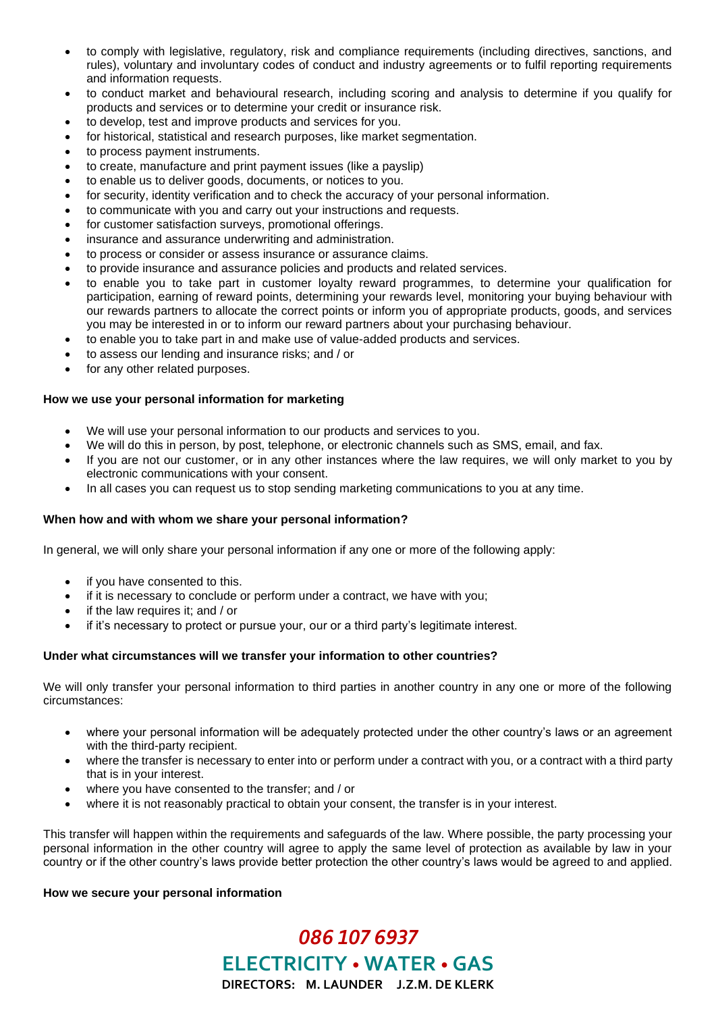- to comply with legislative, regulatory, risk and compliance requirements (including directives, sanctions, and rules), voluntary and involuntary codes of conduct and industry agreements or to fulfil reporting requirements and information requests.
- to conduct market and behavioural research, including scoring and analysis to determine if you qualify for products and services or to determine your credit or insurance risk.
- to develop, test and improve products and services for you.
- for historical, statistical and research purposes, like market segmentation.
- to process payment instruments.
- to create, manufacture and print payment issues (like a payslip)
- to enable us to deliver goods, documents, or notices to you.
- for security, identity verification and to check the accuracy of your personal information.
- to communicate with you and carry out your instructions and requests.
- for customer satisfaction surveys, promotional offerings.
- insurance and assurance underwriting and administration.
- to process or consider or assess insurance or assurance claims.
- to provide insurance and assurance policies and products and related services.
- to enable you to take part in customer loyalty reward programmes, to determine your qualification for participation, earning of reward points, determining your rewards level, monitoring your buying behaviour with our rewards partners to allocate the correct points or inform you of appropriate products, goods, and services you may be interested in or to inform our reward partners about your purchasing behaviour.
- to enable you to take part in and make use of value-added products and services.
- to assess our lending and insurance risks; and / or
- for any other related purposes.

#### **How we use your personal information for marketing**

- We will use your personal information to our products and services to you.
- We will do this in person, by post, telephone, or electronic channels such as SMS, email, and fax.
- If you are not our customer, or in any other instances where the law requires, we will only market to you by electronic communications with your consent.
- In all cases you can request us to stop sending marketing communications to you at any time.

#### **When how and with whom we share your personal information?**

In general, we will only share your personal information if any one or more of the following apply:

- if you have consented to this.
- if it is necessary to conclude or perform under a contract, we have with you;
- if the law requires it; and / or
- if it's necessary to protect or pursue your, our or a third party's legitimate interest.

#### **Under what circumstances will we transfer your information to other countries?**

We will only transfer your personal information to third parties in another country in any one or more of the following circumstances:

- where your personal information will be adequately protected under the other country's laws or an agreement with the third-party recipient.
- where the transfer is necessary to enter into or perform under a contract with you, or a contract with a third party that is in your interest.
- where you have consented to the transfer; and / or
- where it is not reasonably practical to obtain your consent, the transfer is in your interest.

This transfer will happen within the requirements and safeguards of the law. Where possible, the party processing your personal information in the other country will agree to apply the same level of protection as available by law in your country or if the other country's laws provide better protection the other country's laws would be agreed to and applied.

# **How we secure your personal information**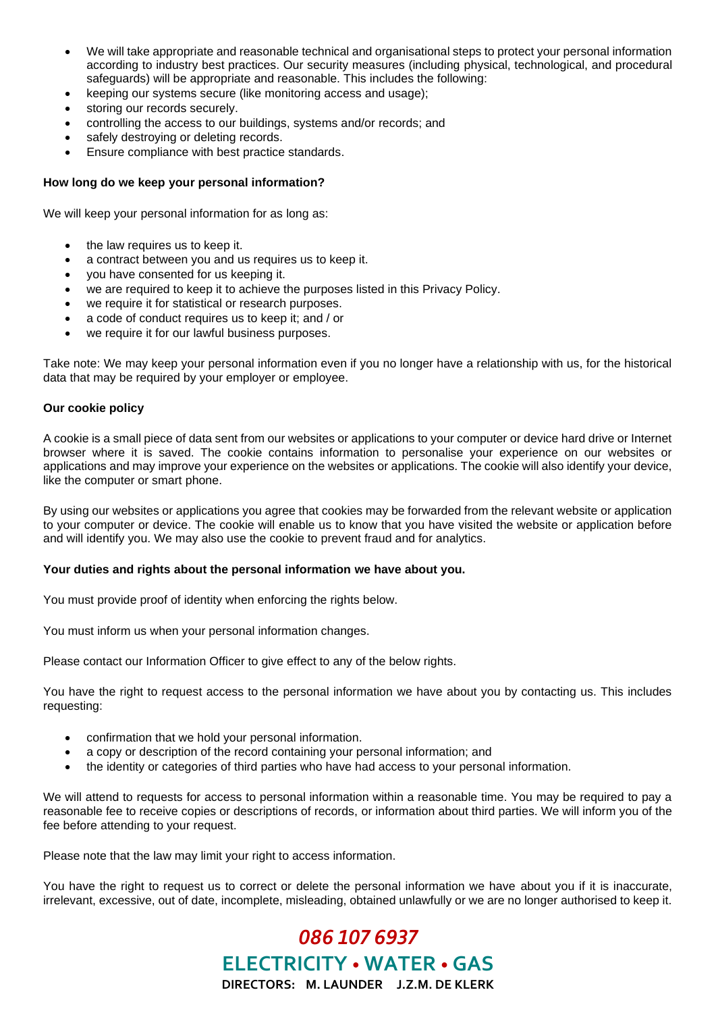- We will take appropriate and reasonable technical and organisational steps to protect your personal information according to industry best practices. Our security measures (including physical, technological, and procedural safeguards) will be appropriate and reasonable. This includes the following:
- keeping our systems secure (like monitoring access and usage);
- storing our records securely.
- controlling the access to our buildings, systems and/or records; and
- safely destroying or deleting records.
- Ensure compliance with best practice standards.

## **How long do we keep your personal information?**

We will keep your personal information for as long as:

- the law requires us to keep it.
- a contract between you and us requires us to keep it.
- you have consented for us keeping it.
- we are required to keep it to achieve the purposes listed in this Privacy Policy.
- we require it for statistical or research purposes.
- a code of conduct requires us to keep it; and / or
- we require it for our lawful business purposes.

Take note: We may keep your personal information even if you no longer have a relationship with us, for the historical data that may be required by your employer or employee.

### **Our cookie policy**

A cookie is a small piece of data sent from our websites or applications to your computer or device hard drive or Internet browser where it is saved. The cookie contains information to personalise your experience on our websites or applications and may improve your experience on the websites or applications. The cookie will also identify your device, like the computer or smart phone.

By using our websites or applications you agree that cookies may be forwarded from the relevant website or application to your computer or device. The cookie will enable us to know that you have visited the website or application before and will identify you. We may also use the cookie to prevent fraud and for analytics.

#### **Your duties and rights about the personal information we have about you.**

You must provide proof of identity when enforcing the rights below.

You must inform us when your personal information changes.

Please contact our Information Officer to give effect to any of the below rights.

You have the right to request access to the personal information we have about you by contacting us. This includes requesting:

- confirmation that we hold your personal information.
- a copy or description of the record containing your personal information; and
- the identity or categories of third parties who have had access to your personal information.

We will attend to requests for access to personal information within a reasonable time. You may be required to pay a reasonable fee to receive copies or descriptions of records, or information about third parties. We will inform you of the fee before attending to your request.

Please note that the law may limit your right to access information.

You have the right to request us to correct or delete the personal information we have about you if it is inaccurate, irrelevant, excessive, out of date, incomplete, misleading, obtained unlawfully or we are no longer authorised to keep it.

*086 107 6937*